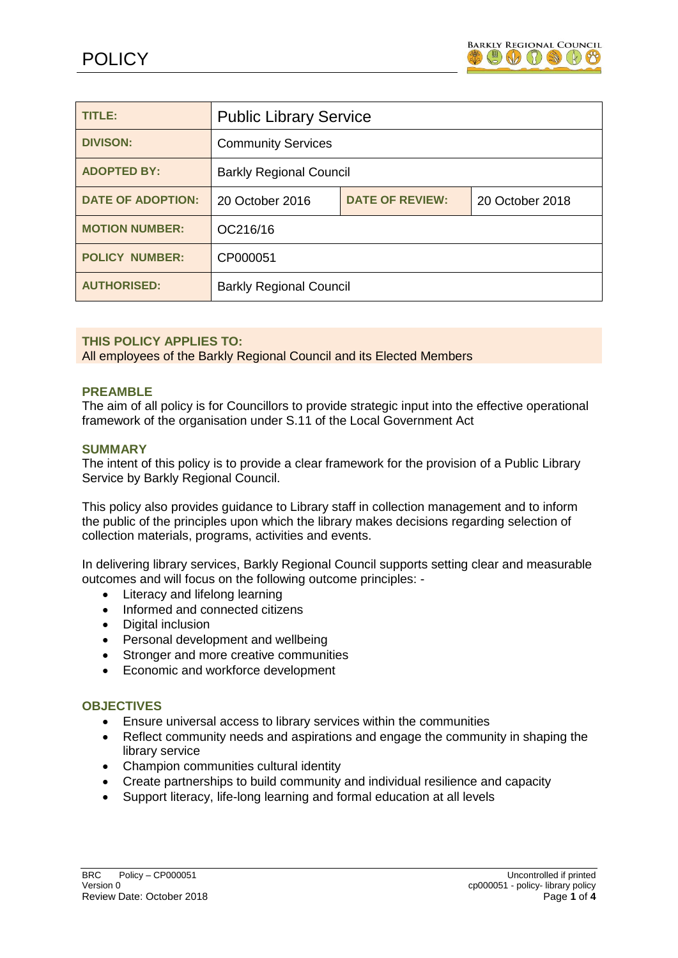

| TITLE:                   | <b>Public Library Service</b>  |                        |                 |
|--------------------------|--------------------------------|------------------------|-----------------|
| <b>DIVISON:</b>          | <b>Community Services</b>      |                        |                 |
| <b>ADOPTED BY:</b>       | <b>Barkly Regional Council</b> |                        |                 |
| <b>DATE OF ADOPTION:</b> | 20 October 2016                | <b>DATE OF REVIEW:</b> | 20 October 2018 |
| <b>MOTION NUMBER:</b>    | OC216/16                       |                        |                 |
| <b>POLICY NUMBER:</b>    | CP000051                       |                        |                 |
| <b>AUTHORISED:</b>       | <b>Barkly Regional Council</b> |                        |                 |

# **THIS POLICY APPLIES TO:**

All employees of the Barkly Regional Council and its Elected Members

## **PREAMBLE**

The aim of all policy is for Councillors to provide strategic input into the effective operational framework of the organisation under S.11 of the Local Government Act

## **SUMMARY**

The intent of this policy is to provide a clear framework for the provision of a Public Library Service by Barkly Regional Council.

This policy also provides guidance to Library staff in collection management and to inform the public of the principles upon which the library makes decisions regarding selection of collection materials, programs, activities and events.

In delivering library services, Barkly Regional Council supports setting clear and measurable outcomes and will focus on the following outcome principles: -

- Literacy and lifelong learning
- Informed and connected citizens
- Digital inclusion
- Personal development and wellbeing
- Stronger and more creative communities
- Economic and workforce development

# **OBJECTIVES**

- Ensure universal access to library services within the communities
- Reflect community needs and aspirations and engage the community in shaping the library service
- Champion communities cultural identity
- Create partnerships to build community and individual resilience and capacity
- Support literacy, life-long learning and formal education at all levels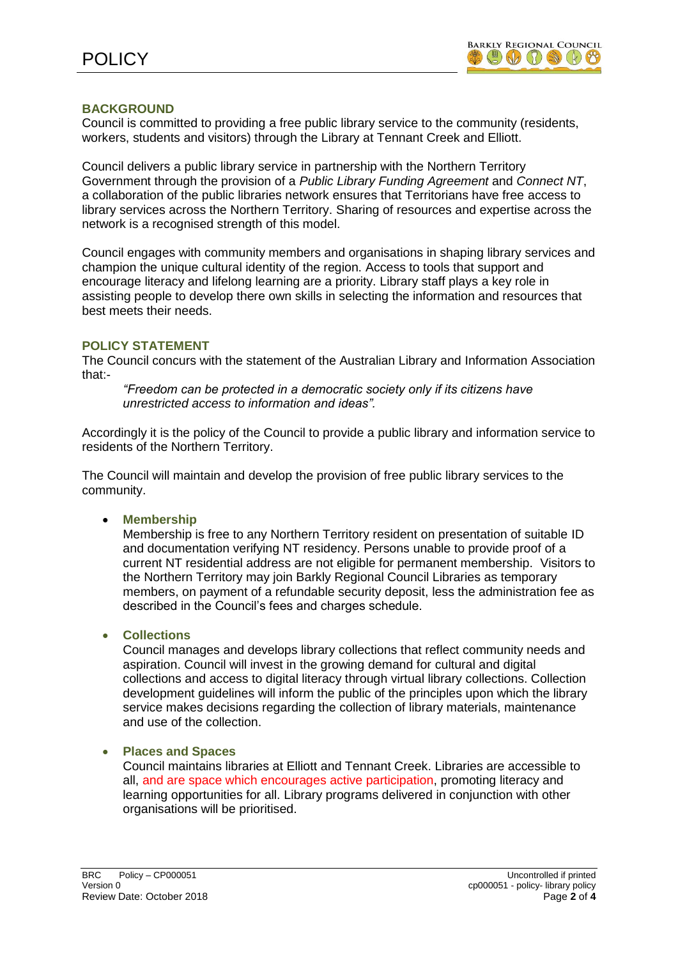

# **BACKGROUND**

Council is committed to providing a free public library service to the community (residents, workers, students and visitors) through the Library at Tennant Creek and Elliott.

Council delivers a public library service in partnership with the Northern Territory Government through the provision of a *Public Library Funding Agreement* and *Connect NT*, a collaboration of the public libraries network ensures that Territorians have free access to library services across the Northern Territory. Sharing of resources and expertise across the network is a recognised strength of this model.

Council engages with community members and organisations in shaping library services and champion the unique cultural identity of the region. Access to tools that support and encourage literacy and lifelong learning are a priority. Library staff plays a key role in assisting people to develop there own skills in selecting the information and resources that best meets their needs.

## **POLICY STATEMENT**

The Council concurs with the statement of the Australian Library and Information Association that:-

*"Freedom can be protected in a democratic society only if its citizens have unrestricted access to information and ideas".*

Accordingly it is the policy of the Council to provide a public library and information service to residents of the Northern Territory.

The Council will maintain and develop the provision of free public library services to the community.

**Membership**

Membership is free to any Northern Territory resident on presentation of suitable ID and documentation verifying NT residency. Persons unable to provide proof of a current NT residential address are not eligible for permanent membership. Visitors to the Northern Territory may join Barkly Regional Council Libraries as temporary members, on payment of a refundable security deposit, less the administration fee as described in the Council's fees and charges schedule.

**Collections**

Council manages and develops library collections that reflect community needs and aspiration. Council will invest in the growing demand for cultural and digital collections and access to digital literacy through virtual library collections. Collection development guidelines will inform the public of the principles upon which the library service makes decisions regarding the collection of library materials, maintenance and use of the collection.

#### **Places and Spaces**

Council maintains libraries at Elliott and Tennant Creek. Libraries are accessible to all, and are space which encourages active participation, promoting literacy and learning opportunities for all. Library programs delivered in conjunction with other organisations will be prioritised.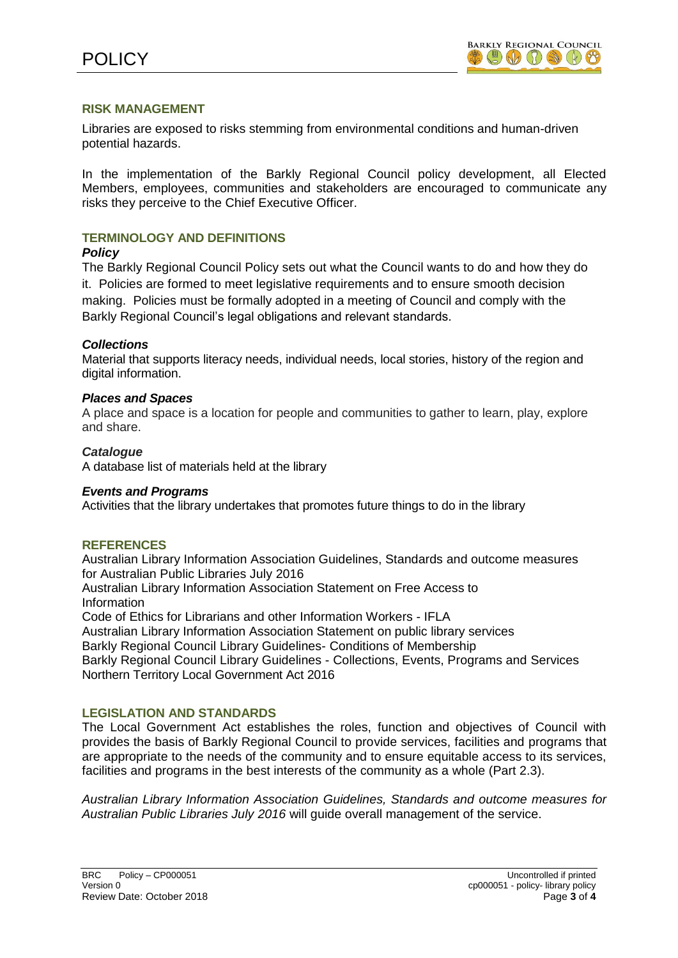

## **RISK MANAGEMENT**

Libraries are exposed to risks stemming from environmental conditions and human-driven potential hazards.

In the implementation of the Barkly Regional Council policy development, all Elected Members, employees, communities and stakeholders are encouraged to communicate any risks they perceive to the Chief Executive Officer.

# **TERMINOLOGY AND DEFINITIONS**

## *Policy*

The Barkly Regional Council Policy sets out what the Council wants to do and how they do it. Policies are formed to meet legislative requirements and to ensure smooth decision making. Policies must be formally adopted in a meeting of Council and comply with the Barkly Regional Council's legal obligations and relevant standards.

# *Collections*

Material that supports literacy needs, individual needs, local stories, history of the region and digital information.

## *Places and Spaces*

A place and space is a location for people and communities to gather to learn, play, explore and share.

## *Catalogue*

A database list of materials held at the library

#### *Events and Programs*

Activities that the library undertakes that promotes future things to do in the library

# **REFERENCES**

Australian Library Information Association Guidelines, Standards and outcome measures for Australian Public Libraries July 2016

Australian Library Information Association Statement on Free Access to Information

Code of Ethics for Librarians and other Information Workers - IFLA

Australian Library Information Association Statement on public library services

Barkly Regional Council Library Guidelines- Conditions of Membership

Barkly Regional Council Library Guidelines - Collections, Events, Programs and Services Northern Territory Local Government Act 2016

# **LEGISLATION AND STANDARDS**

The Local Government Act establishes the roles, function and objectives of Council with provides the basis of Barkly Regional Council to provide services, facilities and programs that are appropriate to the needs of the community and to ensure equitable access to its services, facilities and programs in the best interests of the community as a whole (Part 2.3).

*Australian Library Information Association Guidelines, Standards and outcome measures for Australian Public Libraries July 2016* will guide overall management of the service.